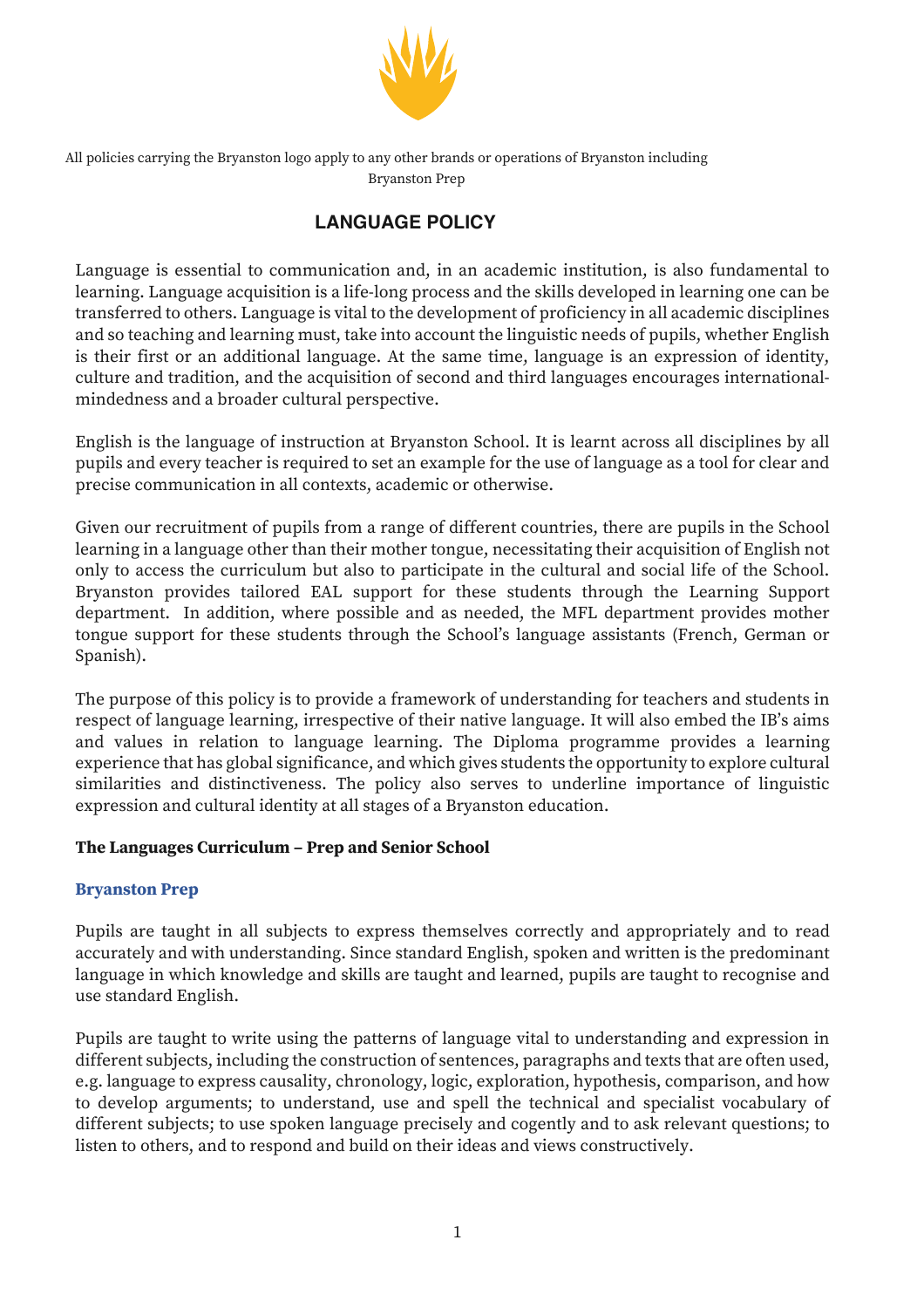

All policies carrying the Bryanston logo apply to any other brands or operations of Bryanston including Bryanston Prep

# **LANGUAGE POLICY**

Language is essential to communication and, in an academic institution, is also fundamental to learning. Language acquisition is a life-long process and the skills developed in learning one can be transferred to others. Language is vital to the development of proficiency in all academic disciplines and so teaching and learning must, take into account the linguistic needs of pupils, whether English is their first or an additional language. At the same time, language is an expression of identity, culture and tradition, and the acquisition of second and third languages encourages internationalmindedness and a broader cultural perspective.

English is the language of instruction at Bryanston School. It is learnt across all disciplines by all pupils and every teacher is required to set an example for the use of language as a tool for clear and precise communication in all contexts, academic or otherwise.

Given our recruitment of pupils from a range of different countries, there are pupils in the School learning in a language other than their mother tongue, necessitating their acquisition of English not only to access the curriculum but also to participate in the cultural and social life of the School. Bryanston provides tailored EAL support for these students through the Learning Support department. In addition, where possible and as needed, the MFL department provides mother tongue support for these students through the School's language assistants (French, German or Spanish).

The purpose of this policy is to provide a framework of understanding for teachers and students in respect of language learning, irrespective of their native language. It will also embed the IB's aims and values in relation to language learning. The Diploma programme provides a learning experience that has global significance, and which gives students the opportunity to explore cultural similarities and distinctiveness. The policy also serves to underline importance of linguistic expression and cultural identity at all stages of a Bryanston education.

## **The Languages Curriculum – Prep and Senior School**

#### **Bryanston Prep**

Pupils are taught in all subjects to express themselves correctly and appropriately and to read accurately and with understanding. Since standard English, spoken and written is the predominant language in which knowledge and skills are taught and learned, pupils are taught to recognise and use standard English.

Pupils are taught to write using the patterns of language vital to understanding and expression in different subjects, including the construction of sentences, paragraphs and texts that are often used, e.g. language to express causality, chronology, logic, exploration, hypothesis, comparison, and how to develop arguments; to understand, use and spell the technical and specialist vocabulary of different subjects; to use spoken language precisely and cogently and to ask relevant questions; to listen to others, and to respond and build on their ideas and views constructively.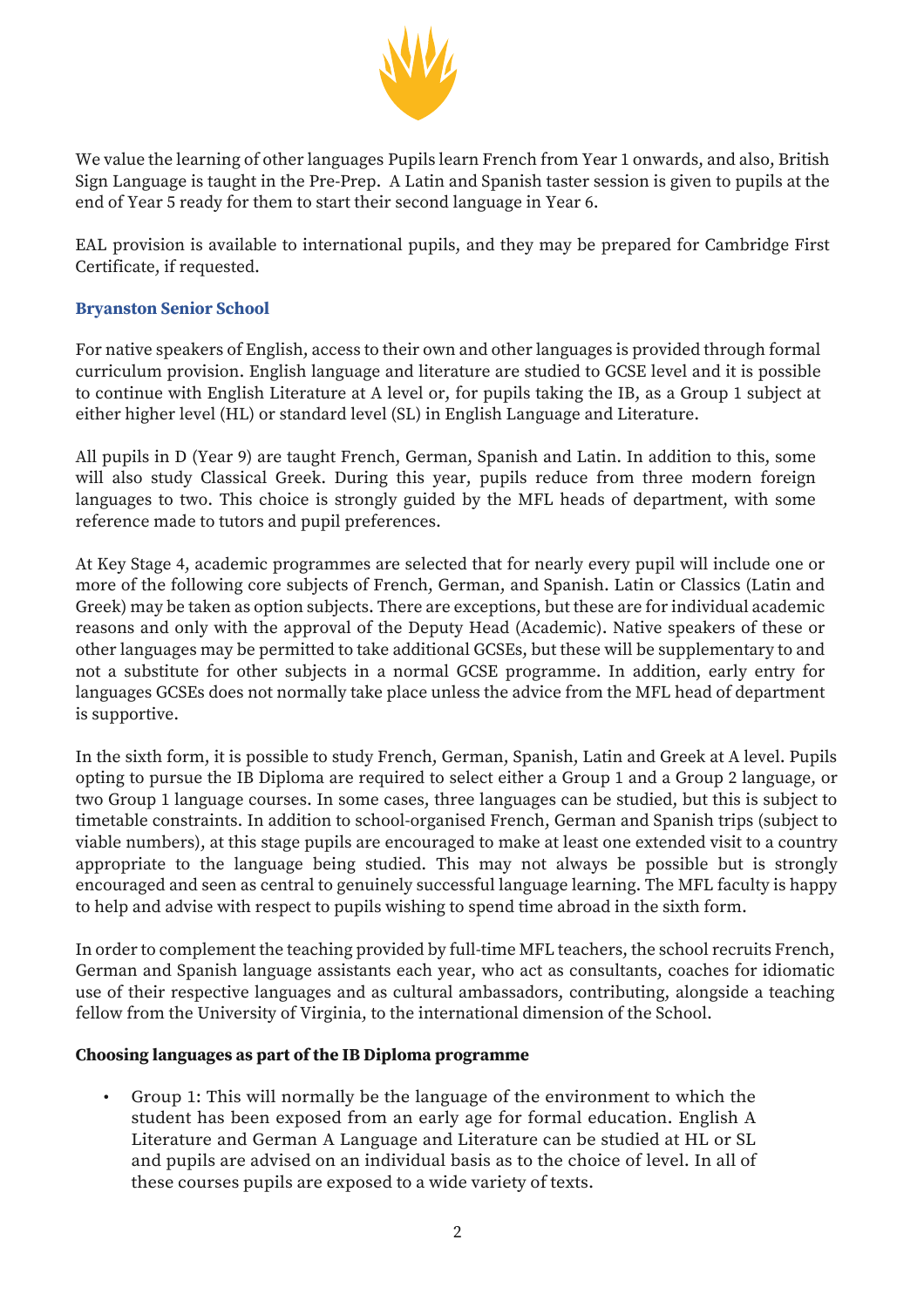

We value the learning of other languages Pupils learn French from Year 1 onwards, and also, British Sign Language is taught in the Pre-Prep. A Latin and Spanish taster session is given to pupils at the end of Year 5 ready for them to start their second language in Year 6.

EAL provision is available to international pupils, and they may be prepared for Cambridge First Certificate, if requested.

### **Bryanston Senior School**

For native speakers of English, access to their own and other languages is provided through formal curriculum provision. English language and literature are studied to GCSE level and it is possible to continue with English Literature at A level or, for pupils taking the IB, as a Group 1 subject at either higher level (HL) or standard level (SL) in English Language and Literature.

All pupils in D (Year 9) are taught French, German, Spanish and Latin. In addition to this, some will also study Classical Greek. During this year, pupils reduce from three modern foreign languages to two. This choice is strongly guided by the MFL heads of department, with some reference made to tutors and pupil preferences.

At Key Stage 4, academic programmes are selected that for nearly every pupil will include one or more of the following core subjects of French, German, and Spanish. Latin or Classics (Latin and Greek) may be taken as option subjects. There are exceptions, but these are for individual academic reasons and only with the approval of the Deputy Head (Academic). Native speakers of these or other languages may be permitted to take additional GCSEs, but these will be supplementary to and not a substitute for other subjects in a normal GCSE programme. In addition, early entry for languages GCSEs does not normally take place unless the advice from the MFL head of department is supportive.

In the sixth form, it is possible to study French, German, Spanish, Latin and Greek at A level. Pupils opting to pursue the IB Diploma are required to select either a Group 1 and a Group 2 language, or two Group 1 language courses. In some cases, three languages can be studied, but this is subject to timetable constraints. In addition to school-organised French, German and Spanish trips (subject to viable numbers), at this stage pupils are encouraged to make at least one extended visit to a country appropriate to the language being studied. This may not always be possible but is strongly encouraged and seen as central to genuinely successful language learning. The MFL faculty is happy to help and advise with respect to pupils wishing to spend time abroad in the sixth form.

In order to complement the teaching provided by full-time MFL teachers, the school recruits French, German and Spanish language assistants each year, who act as consultants, coaches for idiomatic use of their respective languages and as cultural ambassadors, contributing, alongside a teaching fellow from the University of Virginia, to the international dimension of the School.

#### **Choosing languages as part of the IB Diploma programme**

• Group 1: This will normally be the language of the environment to which the student has been exposed from an early age for formal education. English A Literature and German A Language and Literature can be studied at HL or SL and pupils are advised on an individual basis as to the choice of level. In all of these courses pupils are exposed to a wide variety of texts.